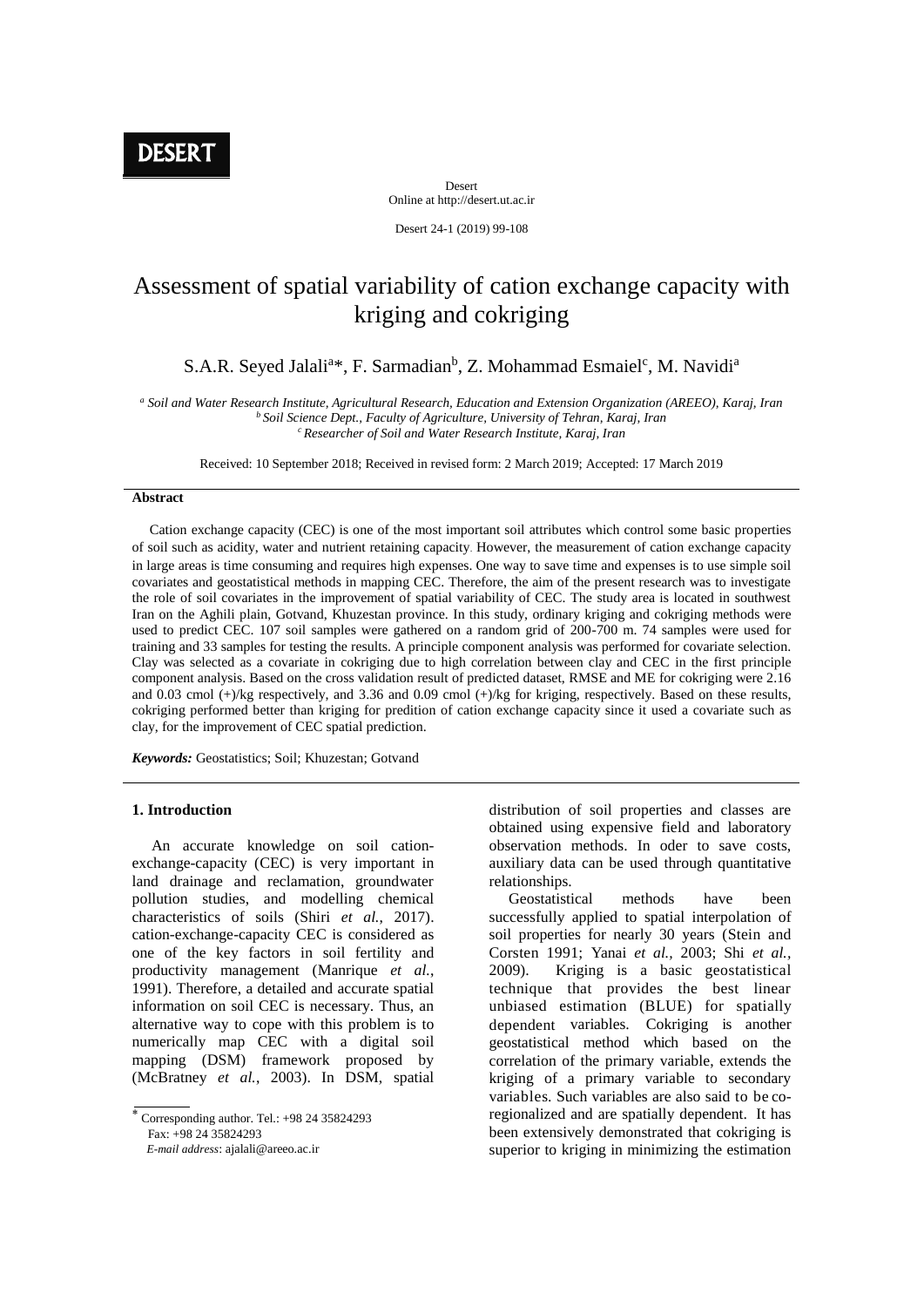**DESERT** 

Desert Online at http://desert.ut.ac.ir

Desert 24-1 (2019) 99-108

# Assessment of spatial variability of cation exchange capacity with kriging and cokriging

S.A.R. Seyed Jalali<sup>a\*</sup>, F. Sarmadian<sup>b</sup>, Z. Mohammad Esmaiel<sup>c</sup>, M. Navidi<sup>a</sup>

*<sup>a</sup> Soil and Water Research Institute, Agricultural Research, Education and Extension Organization (AREEO), Karaj, Iran <sup>b</sup> Soil Science Dept., Faculty of Agriculture, University of Tehran, Karaj, Iran <sup>c</sup> Researcher of Soil and Water Research Institute, Karaj, Iran*

Received: 10 September 2018; Received in revised form: 2 March 2019; Accepted: 17 March 2019

## **Abstract**

 Cation exchange capacity (CEC) is one of the most important soil attributes which control some basic properties of soil such as acidity, water and nutrient retaining capacity. However, the measurement of cation exchange capacity in large areas is time consuming and requires high expenses. One way to save time and expenses is to use simple soil covariates and geostatistical methods in mapping CEC. Therefore, the aim of the present research was to investigate the role of soil covariates in the improvement of spatial variability of CEC. The study area is located in southwest Iran on the Aghili plain, Gotvand, Khuzestan province. In this study, ordinary kriging and cokriging methods were used to predict CEC. 107 soil samples were gathered on a random grid of 200-700 m. 74 samples were used for training and 33 samples for testing the results. A principle component analysis was performed for covariate selection. Clay was selected as a covariate in cokriging due to high correlation between clay and CEC in the first principle component analysis. Based on the cross validation result of predicted dataset, RMSE and ME for cokriging were 2.16 and 0.03 cmol (+)/kg respectively, and 3.36 and 0.09 cmol (+)/kg for kriging, respectively. Based on these results, cokriging performed better than kriging for predition of cation exchange capacity since it used a covariate such as clay, for the improvement of CEC spatial prediction.

*Keywords:* Geostatistics; Soil; Khuzestan; Gotvand

## **1. Introduction**

 An accurate knowledge on soil cationexchange-capacity (CEC) is very important in land drainage and reclamation, groundwater pollution studies, and modelling chemical characteristics of soils (Shiri *et al.*, 2017). cation-exchange-capacity CEC is considered as one of the key factors in soil fertility and productivity management (Manrique *et al.*, 1991). Therefore, a detailed and accurate spatial information on soil CEC is necessary. Thus, an alternative way to cope with this problem is to numerically map CEC with a digital soil mapping (DSM) framework proposed by (McBratney *et al.*, 2003). In DSM, spatial

Corresponding author. Tel.:  $+98$  24 35824293 Fax: +98 24 35824293

 *E-mail address*: ajalali@areeo.ac.ir

distribution of soil properties and classes are obtained using expensive field and laboratory observation methods. In oder to save costs, auxiliary data can be used through quantitative relationships.

 Geostatistical methods have been successfully applied to spatial interpolation of soil properties for nearly 30 years (Stein and Corsten 1991; Yanai *et al.,* 2003; Shi *et al.,* 2009). Kriging is a basic geostatistical technique that provides the best linear unbiased estimation (BLUE) for spatially dependent variables. Cokriging is another geostatistical method which based on the correlation of the primary variable, extends the kriging of a primary variable to secondary variables. Such variables are also said to be coregionalized and are spatially dependent. It has been extensively demonstrated that cokriging is superior to kriging in minimizing the estimation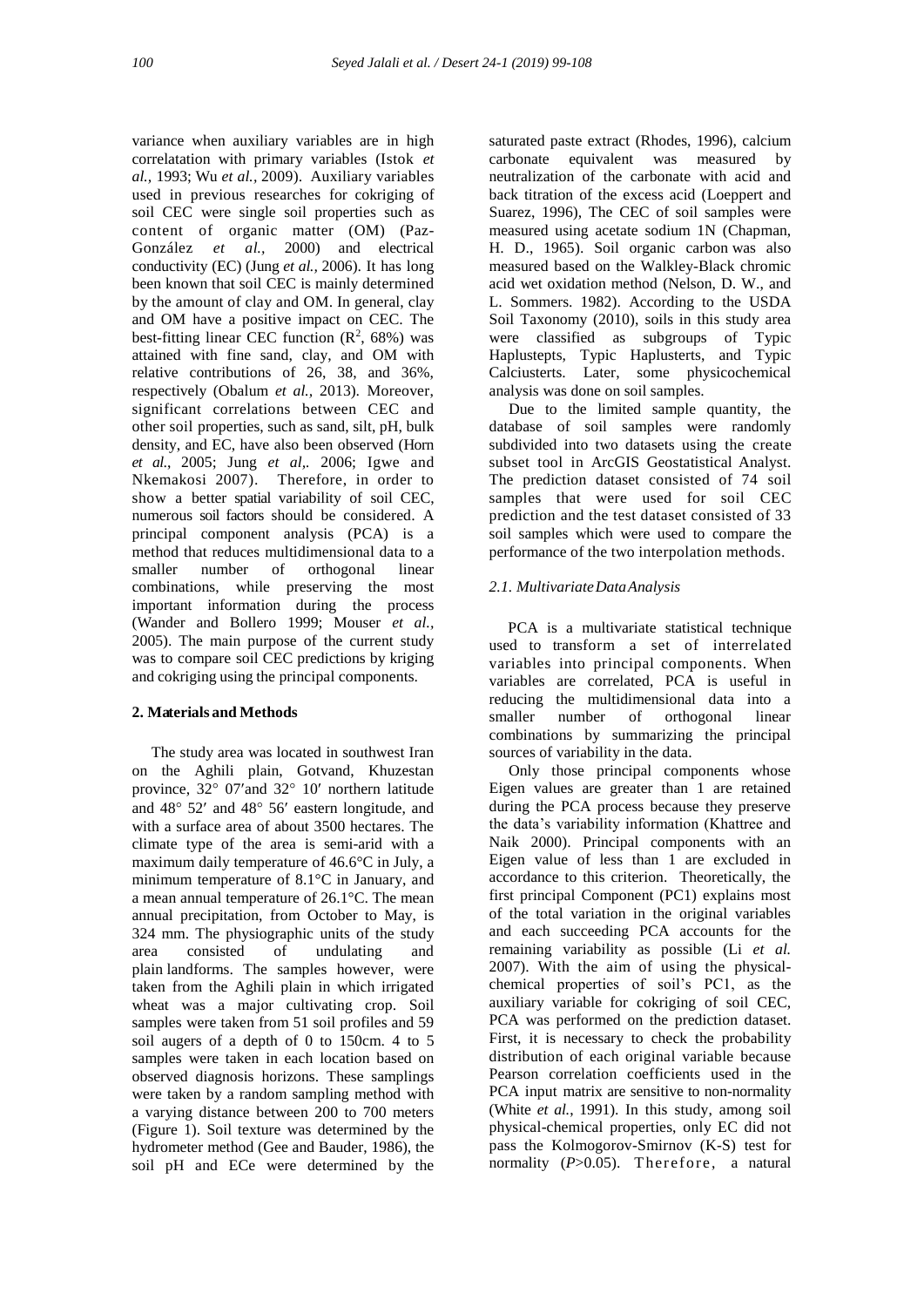variance when auxiliary variables are in high correlatation with primary variables (Istok *et al.,* 1993; Wu *et al.,* 2009). Auxiliary variables used in previous researches for cokriging of soil CEC were single soil properties such as content of organic matter (OM) (Paz-González *et al.,* 2000) and electrical conductivity (EC) (Jung *et al.,* 2006). It has long been known that soil CEC is mainly determined by the amount of clay and OM. In general, clay and OM have a positive impact on CEC. The best-fitting linear CEC function  $(R^2, 68%)$  was attained with fine sand, clay, and OM with relative contributions of 26, 38, and 36%, respectively (Obalum *et al.,* 2013). Moreover, significant correlations between CEC and other soil properties, such as sand, silt, pH, bulk density, and EC, have also been observed (Horn *et al*., 2005; Jung *et al,.* 2006; Igwe and Nkemakosi 2007). Therefore, in order to show a better spatial variability of soil CEC, numerous soil factors should be considered. A principal component analysis (PCA) is a method that reduces multidimensional data to a smaller number of orthogonal linear combinations, while preserving the most important information during the process (Wander and Bollero 1999; Mouser *et al.,* 2005). The main purpose of the current study was to compare soil CEC predictions by kriging and cokriging using the principal components.

# **2. Materials and Methods**

 The study area was located in southwest Iran on the Aghili plain, Gotvand, Khuzestan province,  $32^{\circ}$  07' and  $32^{\circ}$  10' northern latitude and  $48^{\circ}$  52' and  $48^{\circ}$  56' eastern longitude, and with a surface area of about 3500 hectares. The climate type of the area is semi-arid with a maximum daily temperature of 46.6°C in July, a minimum temperature of 8.1°C in January, and a mean annual temperature of 26.1°C. The mean annual precipitation, from October to May, is 324 mm. The physiographic units of the study<br>area consisted of undulating and area consisted of undulating and plain landforms. The samples however, were taken from the Aghili plain in which irrigated wheat was a major cultivating crop. Soil samples were taken from 51 soil profiles and 59 soil augers of a depth of 0 to 150cm. 4 to 5 samples were taken in each location based on observed diagnosis horizons. These samplings were taken by a random sampling method with a varying distance between 200 to 700 meters (Figure 1). Soil texture was determined by the hydrometer method (Gee and Bauder, 1986), the soil pH and ECe were determined by the

saturated paste extract (Rhodes, 1996), calcium carbonate equivalent was measured by neutralization of the carbonate with acid and back titration of the excess acid (Loeppert and Suarez, 1996), The CEC of soil samples were measured using acetate sodium 1N (Chapman, H. D., 1965). Soil organic carbon was also measured based on the Walkley-Black chromic acid wet oxidation method (Nelson, D. W., and L. Sommers. 1982). According to the USDA Soil Taxonomy (2010), soils in this study area were classified as subgroups of Typic Haplustepts, Typic Haplusterts, and Typic Calciusterts. Later, some physicochemical analysis was done on soil samples.

 Due to the limited sample quantity, the database of soil samples were randomly subdivided into two datasets using the create subset tool in ArcGIS Geostatistical Analyst. The prediction dataset consisted of 74 soil samples that were used for soil CEC prediction and the test dataset consisted of 33 soil samples which were used to compare the performance of the two interpolation methods.

## *2.1. MultivariateDataAnalysis*

 PCA is a multivariate statistical technique used to transform a set of interrelated variables into principal components. When variables are correlated, PCA is useful in reducing the multidimensional data into a smaller number of orthogonal linear combinations by summarizing the principal sources of variability in the data.

 Only those principal components whose Eigen values are greater than 1 are retained during the PCA process because they preserve the data's variability information (Khattree and Naik 2000). Principal components with an Eigen value of less than 1 are excluded in accordance to this criterion. Theoretically, the first principal Component (PC1) explains most of the total variation in the original variables and each succeeding PCA accounts for the remaining variability as possible (Li *et al.* 2007). With the aim of using the physicalchemical properties of soil's PC1, as the auxiliary variable for cokriging of soil CEC, PCA was performed on the prediction dataset. First, it is necessary to check the probability distribution of each original variable because Pearson correlation coefficients used in the PCA input matrix are sensitive to non-normality (White *et al.*, 1991). In this study, among soil physical-chemical properties, only EC did not pass the Kolmogorov-Smirnov (K-S) test for normality (P>0.05). Therefore, a natural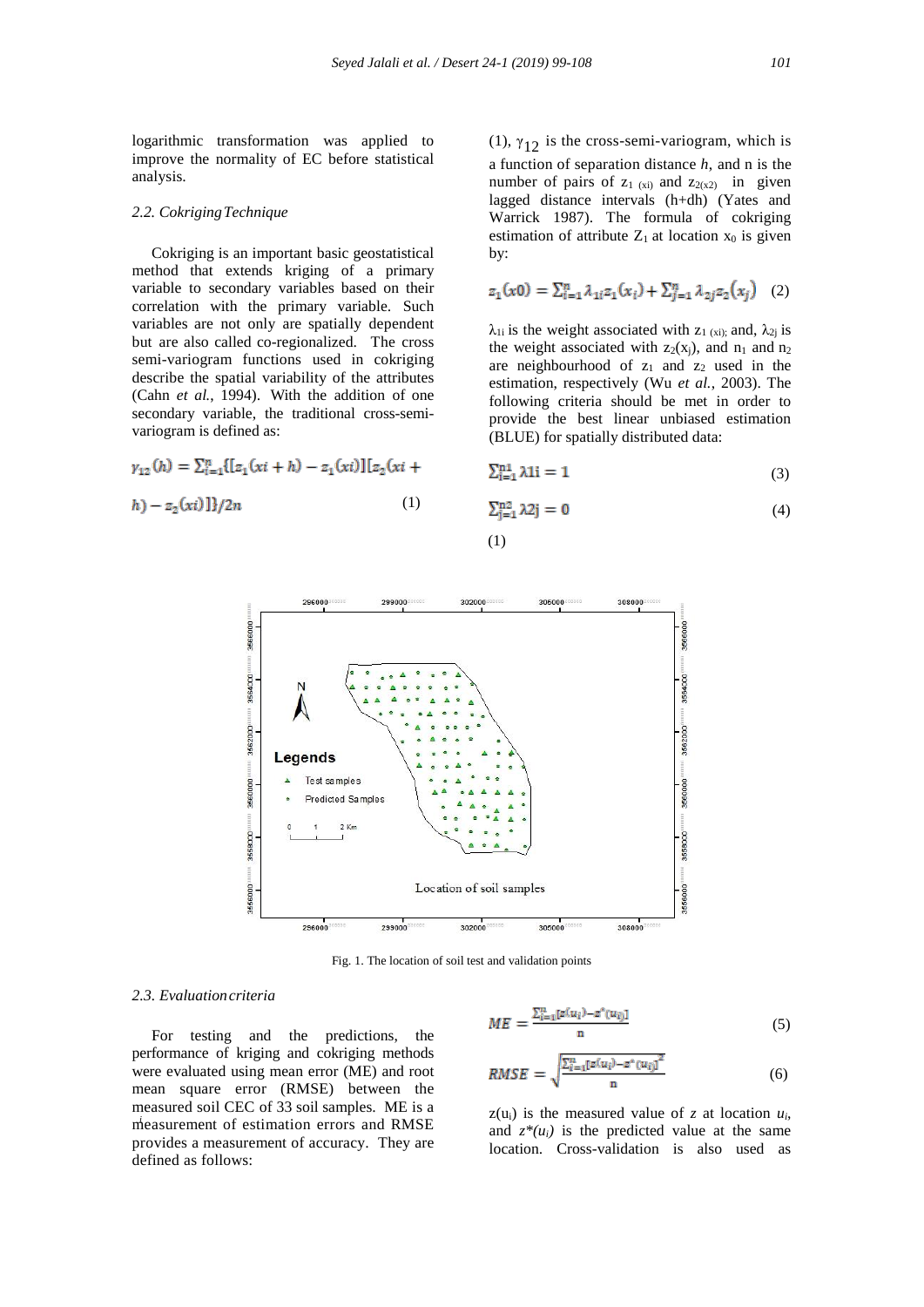logarithmic transformation was applied to improve the normality of EC before statistical analysis.

## *2.2. CokrigingTechnique*

 Cokriging is an important basic geostatistical method that extends kriging of a primary variable to secondary variables based on their correlation with the primary variable. Such variables are not only are spatially dependent but are also called co-regionalized. The cross semi-variogram functions used in cokriging describe the spatial variability of the attributes (Cahn *et al.*, 1994). With the addition of one secondary variable, the traditional cross-semivariogram is defined as:

$$
\gamma_{12}(h) = \sum_{i=1}^{n} \{ [z_1(xi+h) - z_1(xi)] [z_2(xi +
$$

$$
h) - z_2(xi) \frac{1}{2n} \tag{1}
$$

(1),  $\gamma_{12}$  is the cross-semi-variogram, which is a function of separation distance *h*, and n is the number of pairs of  $z_1$  (xi) and  $z_2$ (x<sub>2</sub>) in given lagged distance intervals (h+dh) (Yates and Warrick 1987). The formula of cokriging estimation of attribute  $Z_1$  at location  $x_0$  is given by:

$$
z_1(x0) = \sum_{i=1}^n \lambda_{1i} z_1(x_i) + \sum_{j=1}^n \lambda_{2j} z_2(x_j) \quad (2)
$$

 $\lambda_{1i}$  is the weight associated with  $z_1$  (xi); and,  $\lambda_{2i}$  is the weight associated with  $z_2(x_i)$ , and  $n_1$  and  $n_2$ are neighbourhood of  $z_1$  and  $z_2$  used in the estimation, respectively (Wu *et al.*, 2003). The following criteria should be met in order to provide the best linear unbiased estimation (BLUE) for spatially distributed data:

$$
\sum_{i=1}^{n} \lambda 1i = 1\tag{3}
$$

$$
\sum_{j=1}^{n^2} \lambda 2j = 0 \tag{4}
$$



(1)

Fig. 1. The location of soil test and validation points

#### *2.3. Evaluationcriteria*

*i* measurement of estimation errors and RMSE For testing and the predictions, the performance of kriging and cokriging methods were evaluated using mean error (ME) and root mean square error (RMSE) between the measured soil CEC of 33 soil samples. ME is a provides a measurement of accuracy. They are defined as follows:

$$
ME = \frac{\sum_{i=1}^{n} [z(u_i) - z^*(u_i)]}{n}
$$
 (5)

$$
RMSE = \sqrt{\frac{\sum_{i=1}^{n} [z(u_i) - z^*(u_i)]^2}{n}}
$$
 (6)

 $z(u_i)$  is the measured value of *z* at location  $u_i$ , and  $z^*(u_i)$  is the predicted value at the same location. Cross-validation is also used as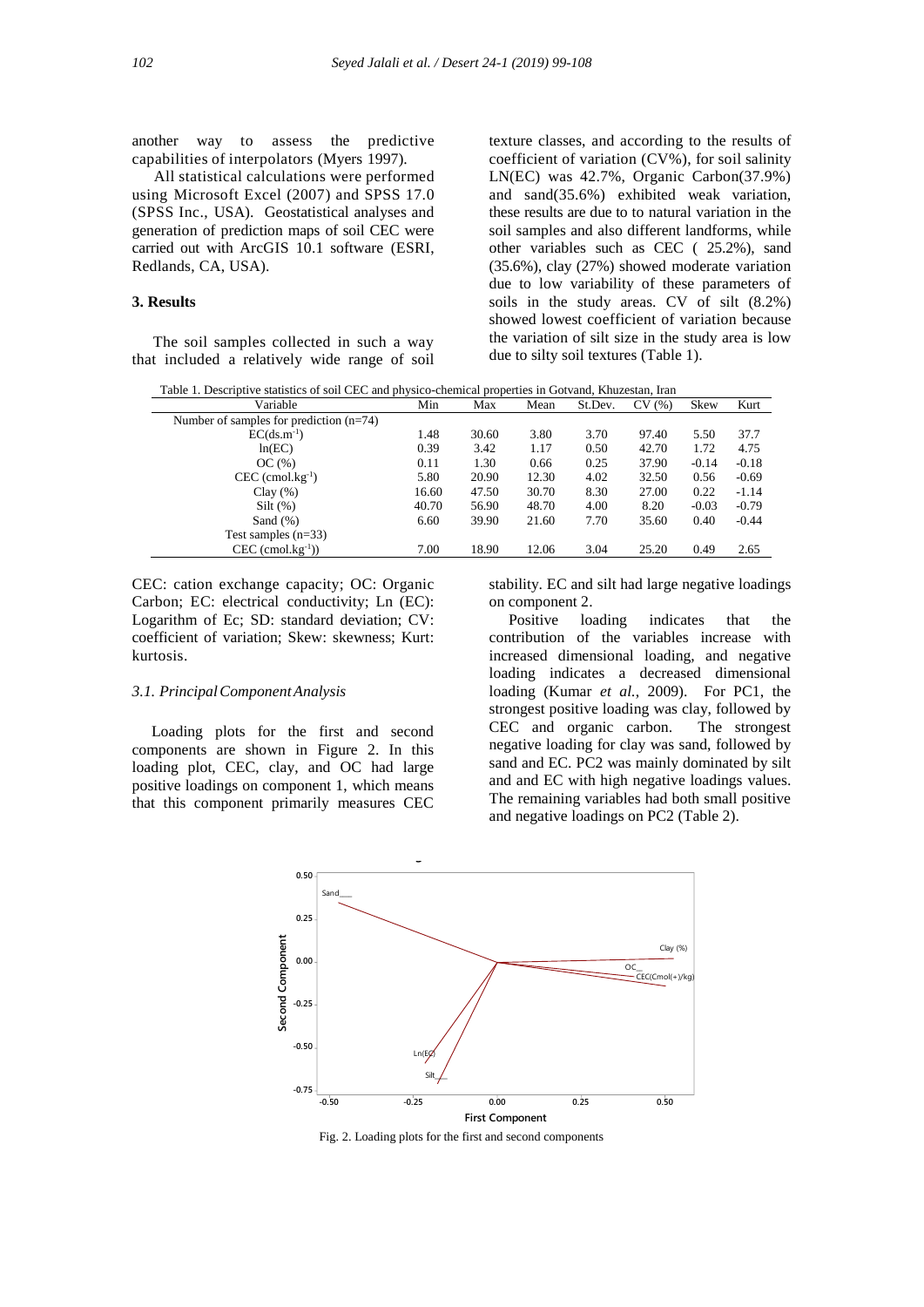another way to assess the predictive capabilities of interpolators (Myers 1997).

 All statistical calculations were performed using Microsoft Excel (2007) and SPSS 17.0 (SPSS Inc., USA). Geostatistical analyses and generation of prediction maps of soil CEC were carried out with ArcGIS 10.1 software (ESRI, Redlands, CA, USA).

# **3. Results**

 The soil samples collected in such a way that included a relatively wide range of soil

texture classes, and according to the results of coefficient of variation (CV%), for soil salinity LN(EC) was 42.7%, Organic Carbon(37.9%) and sand(35.6%) exhibited weak variation, these results are due to to natural variation in the soil samples and also different landforms, while other variables such as CEC ( 25.2%), sand (35.6%), clay (27%) showed moderate variation due to low variability of these parameters of soils in the study areas. CV of silt (8.2%) showed lowest coefficient of variation because the variation of silt size in the study area is low due to silty soil textures (Table 1).

Table 1. Descriptive statistics of soil CEC and physico-chemical properties in Gotvand, Khuzestan, Iran

| Variable                                  | Min   | Max   | Mean  | St.Dev. | CV(%) | <b>Skew</b> | Kurt    |
|-------------------------------------------|-------|-------|-------|---------|-------|-------------|---------|
| Number of samples for prediction $(n=74)$ |       |       |       |         |       |             |         |
| $EC(ds.m^{-1})$                           | 1.48  | 30.60 | 3.80  | 3.70    | 97.40 | 5.50        | 37.7    |
| ln(EC)                                    | 0.39  | 3.42  | 1.17  | 0.50    | 42.70 | 1.72        | 4.75    |
| OC(%)                                     | 0.11  | 1.30  | 0.66  | 0.25    | 37.90 | $-0.14$     | $-0.18$ |
| $CEC$ (cmol.kg <sup>-1</sup> )            | 5.80  | 20.90 | 12.30 | 4.02    | 32.50 | 0.56        | $-0.69$ |
| Clav(%)                                   | 16.60 | 47.50 | 30.70 | 8.30    | 27.00 | 0.22        | $-1.14$ |
| $Silt$ $(\%)$                             | 40.70 | 56.90 | 48.70 | 4.00    | 8.20  | $-0.03$     | $-0.79$ |
| Sand $(\%)$                               | 6.60  | 39.90 | 21.60 | 7.70    | 35.60 | 0.40        | $-0.44$ |
| Test samples $(n=33)$                     |       |       |       |         |       |             |         |
| $CEC$ (cmol.kg <sup>-1</sup> ))           | 7.00  | 18.90 | 12.06 | 3.04    | 25.20 | 0.49        | 2.65    |
|                                           |       |       |       |         |       |             |         |

CEC: cation exchange capacity; OC: Organic Carbon; EC: electrical conductivity; Ln (EC): Logarithm of Ec; SD: standard deviation; CV: coefficient of variation; Skew: skewness; Kurt: kurtosis.

#### *3.1. PrincipalComponentAnalysis*

 Loading plots for the first and second components are shown in Figure 2. In this loading plot, CEC, clay, and OC had large positive loadings on component 1, which means that this component primarily measures CEC

stability. EC and silt had large negative loadings on component 2.

 Positive loading indicates that the contribution of the variables increase with increased dimensional loading, and negative loading indicates a decreased dimensional loading (Kumar *et al.*, 2009). For PC1, the strongest positive loading was clay, followed by CEC and organic carbon. The strongest negative loading for clay was sand, followed by sand and EC. PC2 was mainly dominated by silt and and EC with high negative loadings values. The remaining variables had both small positive and negative loadings on PC2 (Table 2).



Fig. 2. Loading plots for the first and second components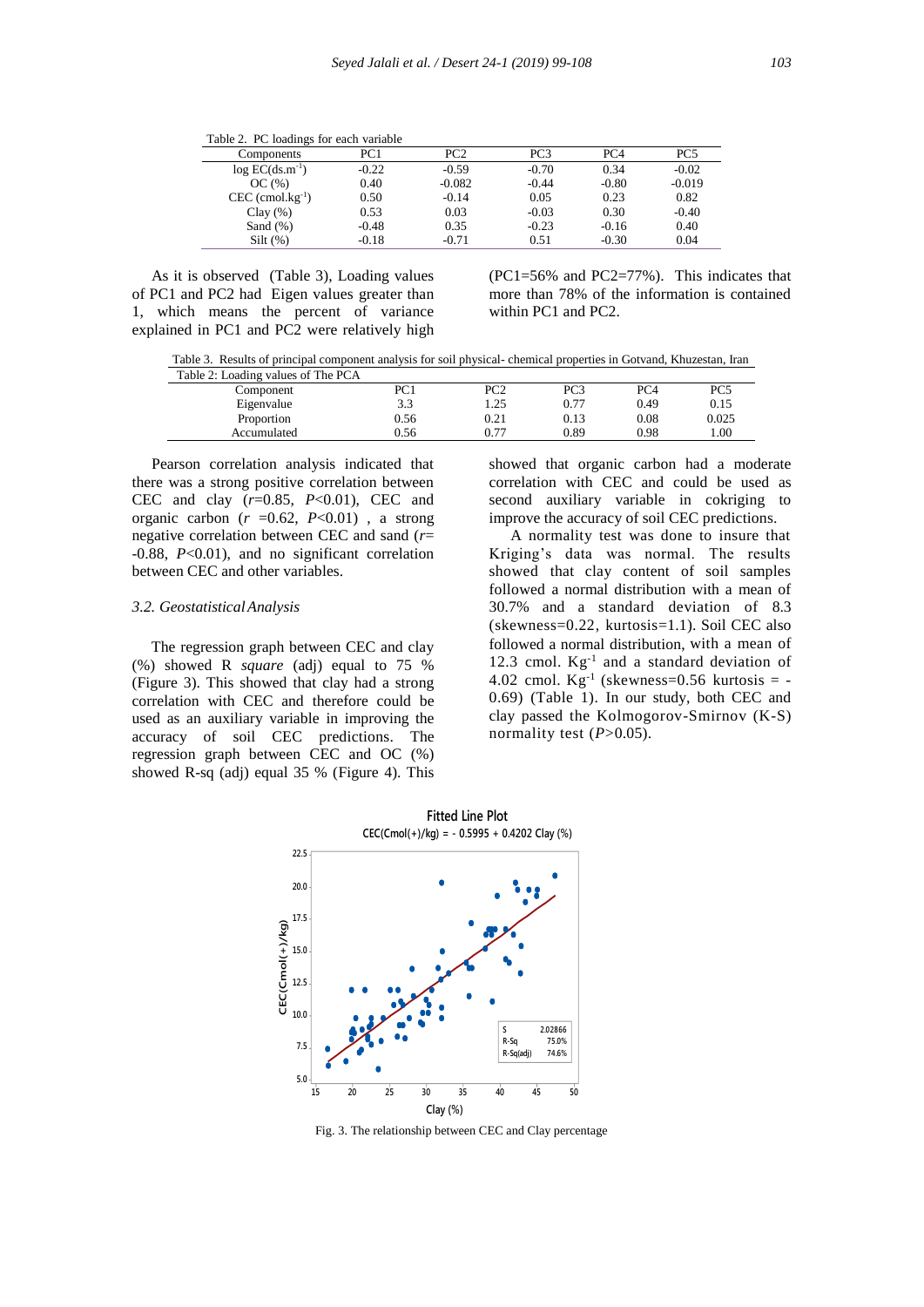Table 2. PC loadings for each variable

| Components                     | PC1     | PC2      | PC3     | PC <sub>4</sub> | PC <sub>5</sub> |
|--------------------------------|---------|----------|---------|-----------------|-----------------|
| $log EC(ds.m^{-1})$            | $-0.22$ | $-0.59$  | $-0.70$ | 0.34            | $-0.02$         |
| OC(%)                          | 0.40    | $-0.082$ | $-0.44$ | $-0.80$         | $-0.019$        |
| $CEC$ (cmol.kg <sup>-1</sup> ) | 0.50    | $-0.14$  | 0.05    | 0.23            | 0.82            |
| Clay $(\% )$                   | 0.53    | 0.03     | $-0.03$ | 0.30            | $-0.40$         |
| Sand $(\%)$                    | $-0.48$ | 0.35     | $-0.23$ | $-0.16$         | 0.40            |
| Silt(%)                        | $-0.18$ | $-0.71$  | 0.51    | $-0.30$         | 0.04            |

 As it is observed (Table 3), Loading values of PC1 and PC2 had Eigen values greater than 1, which means the percent of variance explained in PC1 and PC2 were relatively high

(PC1=56% and PC2=77%). This indicates that more than 78% of the information is contained within PC1 and PC2.

Table 3. Results of principal component analysis for soil physical- chemical properties in Gotvand, Khuzestan, Iran

| Table 2: Loading values of The PCA |      |      |      |      |       |
|------------------------------------|------|------|------|------|-------|
| Component                          | PC1  | PC2  | PC3  | PC4  | PC5   |
| Eigenvalue                         | 3.3  | .25  | 0.77 | 0.49 | 0.15  |
| Proportion                         | 0.56 | 0.21 | 0.13 | 0.08 | 0.025 |
| Accumulated                        | 0.56 | 0.77 | 0.89 | 0.98 | 00.1  |
|                                    |      |      |      |      |       |

 Pearson correlation analysis indicated that there was a strong positive correlation between CEC and clay (*r*=0.85, *P*<0.01), CEC and organic carbon  $(r = 0.62, P < 0.01)$ , a strong negative correlation between CEC and sand (*r*= -0.88, *P*<0.01), and no significant correlation between CEC and other variables.

## *3.2. GeostatisticalAnalysis*

 The regression graph between CEC and clay (%) showed R *square* (adj) equal to 75 % (Figure 3). This showed that clay had a strong correlation with CEC and therefore could be used as an auxiliary variable in improving the accuracy of soil CEC predictions. The regression graph between CEC and OC (%) showed R-sq (adj) equal 35 % (Figure 4). This showed that organic carbon had a moderate correlation with CEC and could be used as second auxiliary variable in cokriging to improve the accuracy of soil CEC predictions.

 A normality test was done to insure that Kriging's data was normal. The results showed that clay content of soil samples followed a normal distribution with a mean of 30.7% and a standard deviation of 8.3 (skewness=0.22, kurtosis=1.1). Soil CEC also followed a normal distribution, with a mean of 12.3 cmol.  $Kg^{-1}$  and a standard deviation of 4.02 cmol.  $Kg^{-1}$  (skewness=0.56 kurtosis = -0.69) (Table 1). In our study, both CEC and clay passed the Kolmogorov-Smirnov (K-S) normality test  $(P>0.05)$ .



Fig. 3. The relationship between CEC and Clay percentage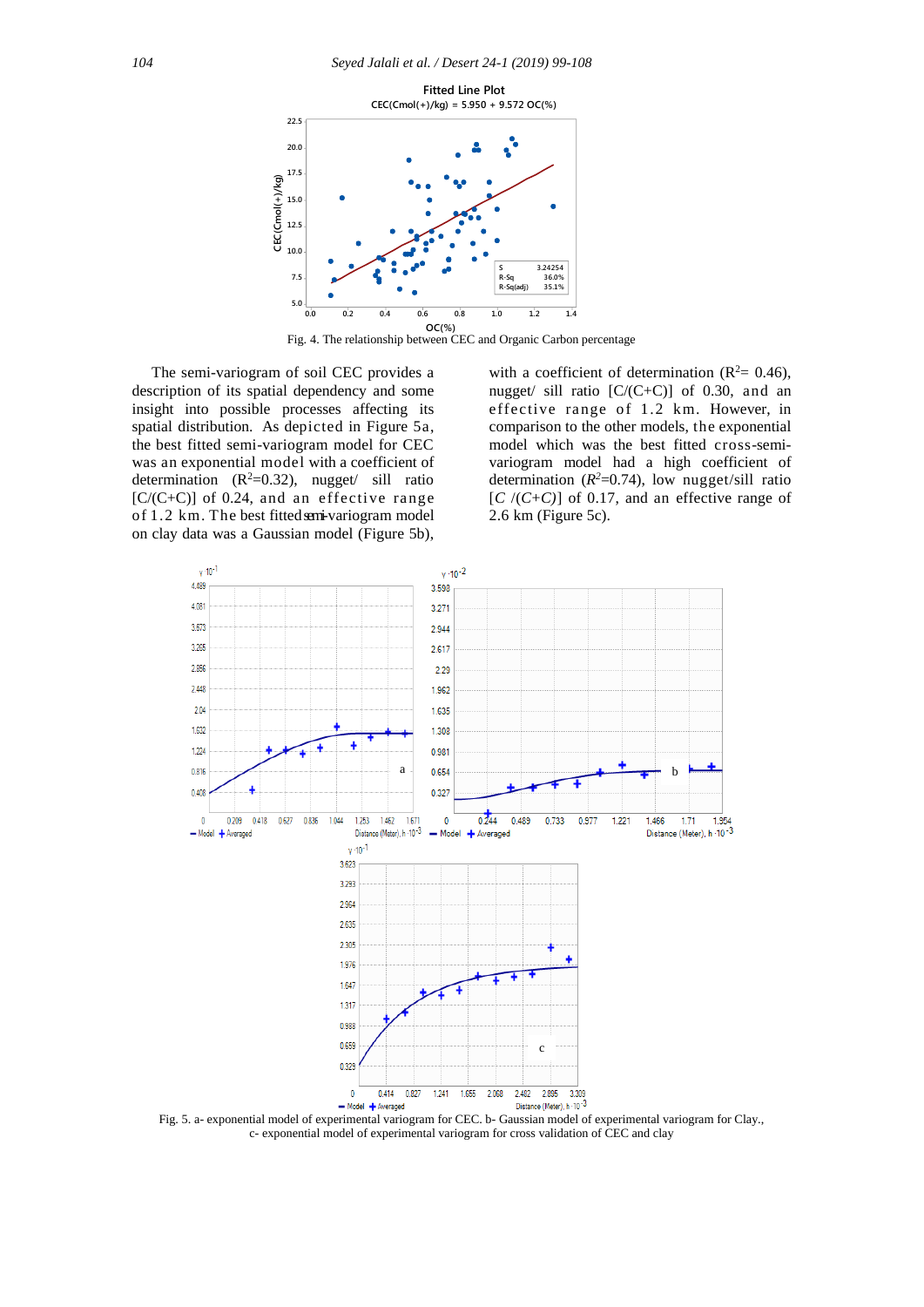

Fig. 4. The relationship between CEC and Organic Carbon percentage

 The semi-variogram of soil CEC provides a description of its spatial dependency and some insight into possible processes affecting its spatial distribution. As depicted in Figure 5a, the best fitted semi-variogram model for CEC was an exponential model with a coefficient of determination  $(R^2=0.32)$ , nugget/ sill ratio [C/(C+C)] of 0.24, and an effective range of 1.2 km. The best fitted emi-variogram model on clay data was a Gaussian model (Figure 5b),

with a coefficient of determination ( $\mathbb{R}^2$  = 0.46), nugget/ sill ratio  $[C/(C+C)]$  of 0.30, and an effective range of 1.2 km. However, in comparison to the other models, the exponential model which was the best fitted cross-semivariogram model had a high coefficient of determination  $(R^2=0.74)$ , low nugget/sill ratio  $[C/(C+C)]$  of 0.17, and an effective range of 2.6 km (Figure 5c).



Fig. 5. a- exponential model of experimental variogram for CEC. b- Gaussian model of experimental variogram for Clay., c- exponential model of experimental variogram for cross validation of CEC and clay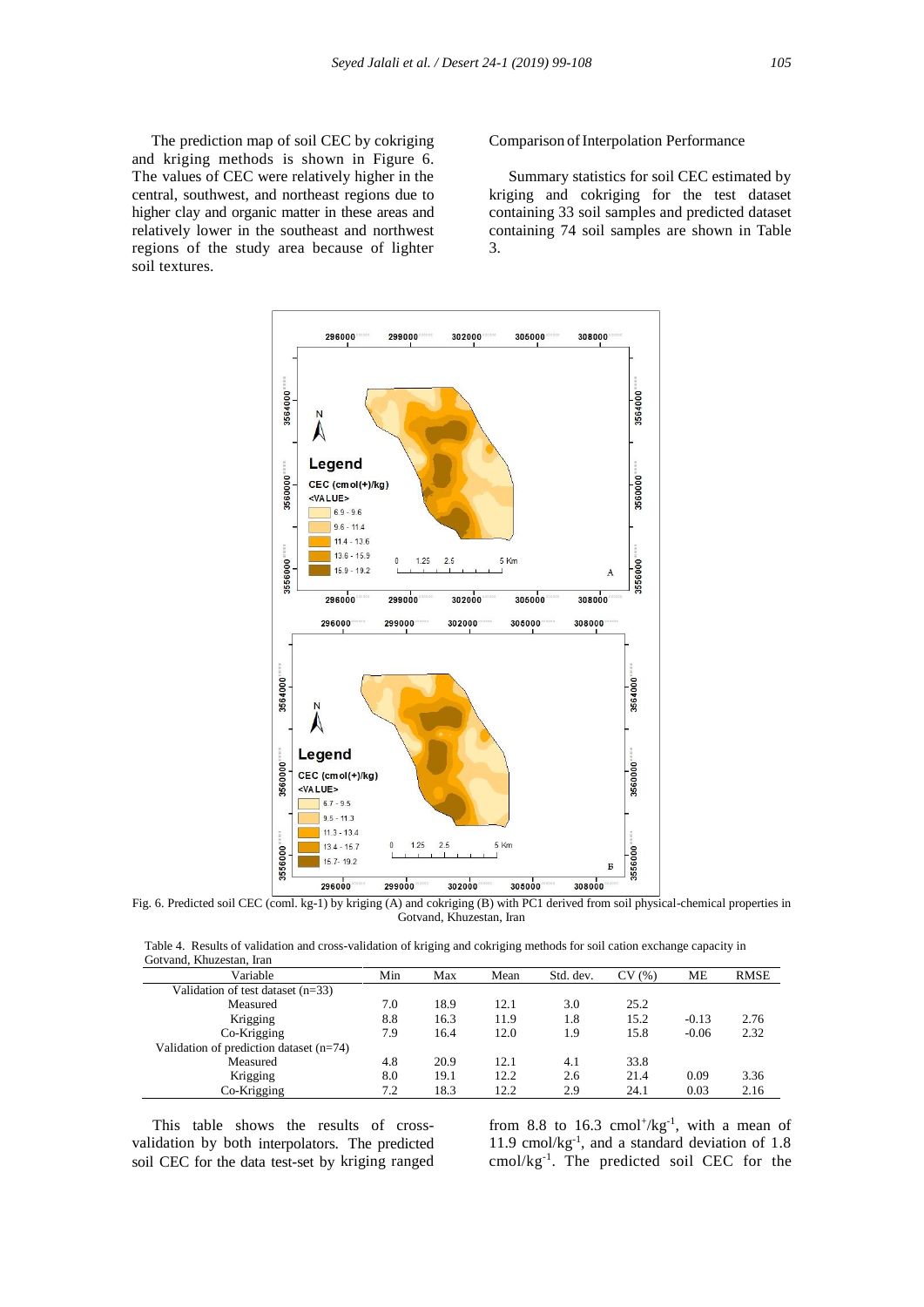The prediction map of soil CEC by cokriging and kriging methods is shown in Figure 6. The values of CEC were relatively higher in the central, southwest, and northeast regions due to higher clay and organic matter in these areas and relatively lower in the southeast and northwest regions of the study area because of lighter soil textures.

## Comparison ofInterpolation Performance

 Summary statistics for soil CEC estimated by kriging and cokriging for the test dataset containing 33 soil samples and predicted dataset containing 74 soil samples are shown in Table 3.



Fig. 6. Predicted soil CEC (coml. kg-1) by kriging (A) and cokriging (B) with PC1 derived from soil physical-chemical properties in Gotvand, Khuzestan, Iran

 Table 4. Results of validation and cross-validation of kriging and cokriging methods for soil cation exchange capacity in Gotvand, Khuzestan, Iran

| Variable                                  | Min | Max  | Mean | Std. dev. | CV(%) | ME      | <b>RMSE</b> |
|-------------------------------------------|-----|------|------|-----------|-------|---------|-------------|
| Validation of test dataset $(n=33)$       |     |      |      |           |       |         |             |
| Measured                                  | 7.0 | 18.9 | 12.1 | 3.0       | 25.2  |         |             |
| Krigging                                  | 8.8 | 16.3 | 11.9 | 1.8       | 15.2  | $-0.13$ | 2.76        |
| Co-Krigging                               | 7.9 | 16.4 | 12.0 | 1.9       | 15.8  | $-0.06$ | 2.32        |
| Validation of prediction dataset $(n=74)$ |     |      |      |           |       |         |             |
| Measured                                  | 4.8 | 20.9 | 12.1 | 4.1       | 33.8  |         |             |
| Krigging                                  | 8.0 | 19.1 | 12.2 | 2.6       | 21.4  | 0.09    | 3.36        |
| Co-Krigging                               | 7.2 | 18.3 | 12.2 | 2.9       | 24.1  | 0.03    | 2.16        |

 This table shows the results of crossvalidation by both interpolators. The predicted soil CEC for the data test-set by kriging ranged from 8.8 to 16.3 cmol<sup>+</sup>/kg<sup>-1</sup>, with a mean of 11.9 cmol/kg<sup>-1</sup>, and a standard deviation of 1.8 cmol/kg<sup>-1</sup>. The predicted soil CEC for the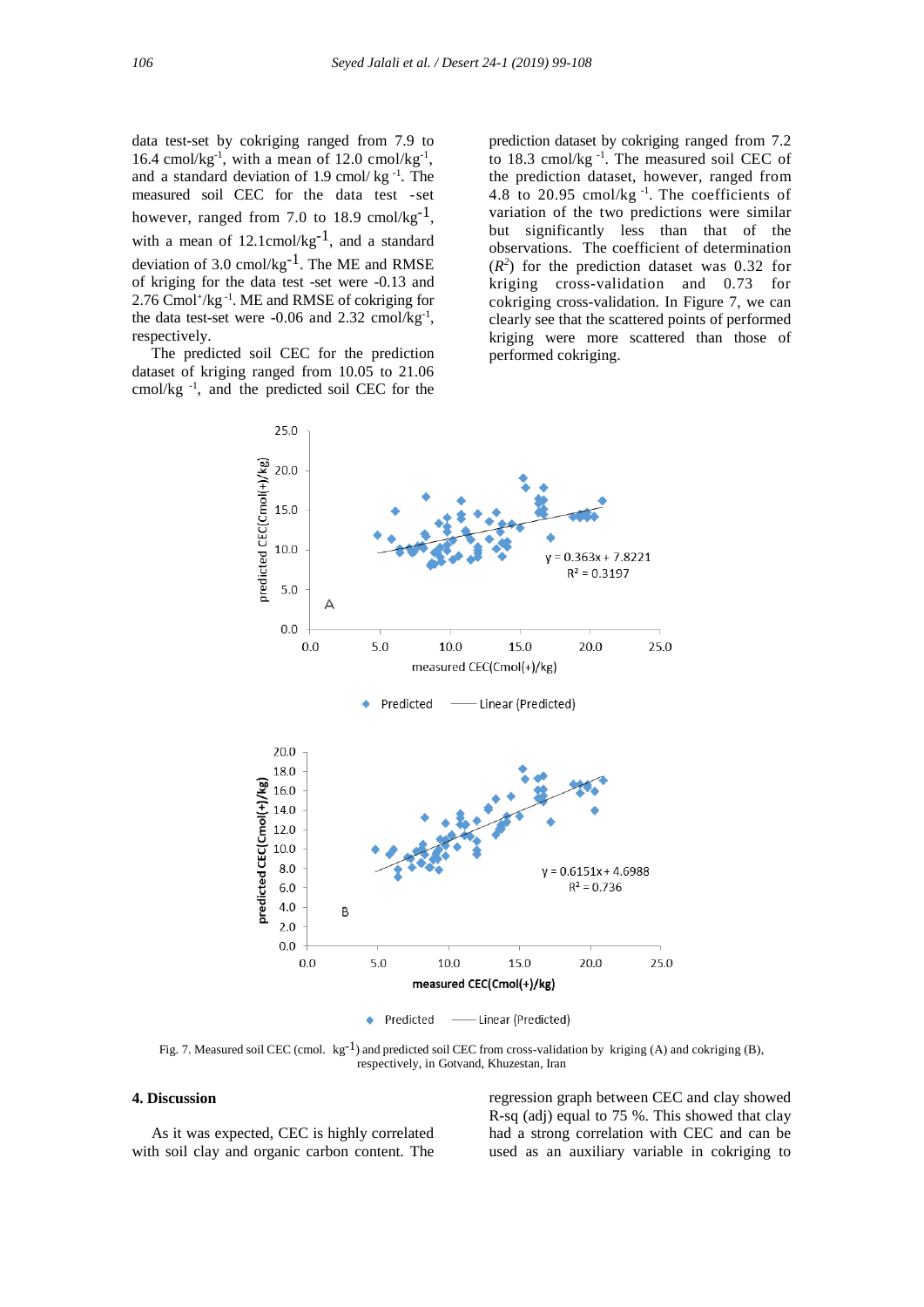data test-set by cokriging ranged from 7.9 to 16.4 cmol/kg<sup>-1</sup>, with a mean of 12.0 cmol/kg<sup>-1</sup>, and a standard deviation of  $1.9 \text{ cmol/kg}^{-1}$ . The measured soil CEC for the data test -set however, ranged from 7.0 to 18.9 cmol/kg<sup>-1</sup>, with a mean of  $12.1$ cmol/kg<sup>-1</sup>, and a standard deviation of 3.0 cmol/kg $^{-1}$ . The ME and RMSE of kriging for the data test -set were -0.13 and 2.76 Cmol<sup>+</sup>/kg<sup>-1</sup>. ME and RMSE of cokriging for the data test-set were  $-0.06$  and  $2.32$  cmol/kg<sup>-1</sup>, respectively.

 The predicted soil CEC for the prediction dataset of kriging ranged from 10.05 to 21.06 cmol/kg -1 , and the predicted soil CEC for the

prediction dataset by cokriging ranged from 7.2 to 18.3 cmol/kg<sup>-1</sup>. The measured soil CEC of the prediction dataset, however, ranged from 4.8 to 20.95 cmol/ $kg^{-1}$ . The coefficients of variation of the two predictions were similar but significantly less than that of the observations. The coefficient of determination  $(R<sup>2</sup>)$  for the prediction dataset was 0.32 for kriging cross-validation and 0.73 for cokriging cross-validation. In Figure 7, we can clearly see that the scattered points of performed kriging were more scattered than those of performed cokriging.



Fig. 7. Measured soil CEC (cmol.  $kg^{-1}$ ) and predicted soil CEC from cross-validation by kriging (A) and cokriging (B), respectively, in Gotvand, Khuzestan, Iran

## **4. Discussion**

 As it was expected, CEC is highly correlated with soil clay and organic carbon content. The regression graph between CEC and clay showed R-sq (adj) equal to 75 %. This showed that clay had a strong correlation with CEC and can be used as an auxiliary variable in cokriging to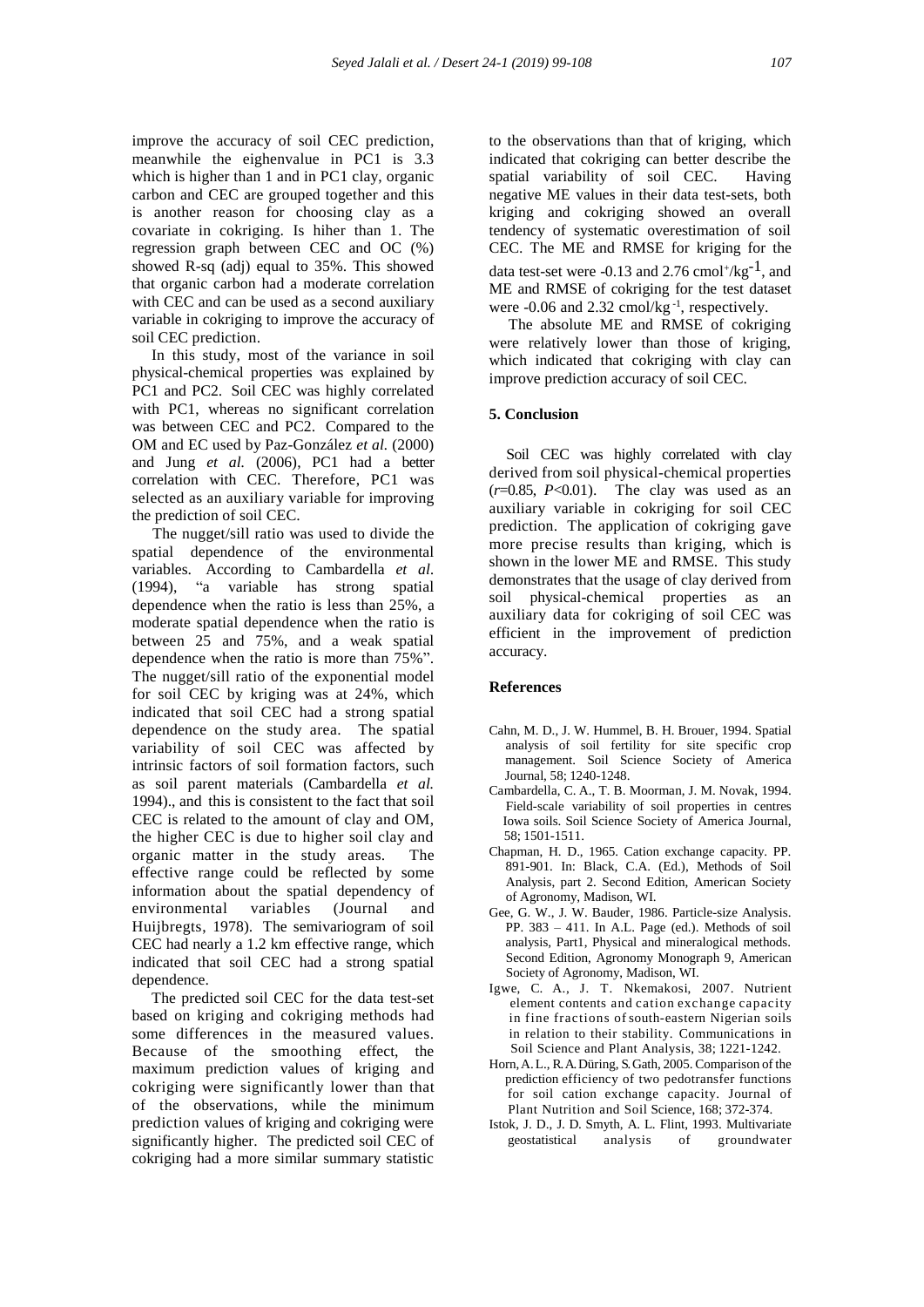improve the accuracy of soil CEC prediction, meanwhile the eighenvalue in PC1 is 3.3 which is higher than 1 and in PC1 clay, organic carbon and CEC are grouped together and this is another reason for choosing clay as a covariate in cokriging. Is hiher than 1. The regression graph between CEC and OC (%) showed R-sq (adj) equal to 35%. This showed that organic carbon had a moderate correlation with CEC and can be used as a second auxiliary variable in cokriging to improve the accuracy of soil CEC prediction.

 In this study, most of the variance in soil physical-chemical properties was explained by PC1 and PC2. Soil CEC was highly correlated with PC1, whereas no significant correlation was between CEC and PC2. Compared to the OM and EC used by Paz-González *et al.* (2000) and Jung *et al.* (2006), PC1 had a better correlation with CEC. Therefore, PC1 was selected as an auxiliary variable for improving the prediction of soil CEC.

 The nugget/sill ratio was used to divide the spatial dependence of the environmental variables. According to Cambardella *et al.* (1994), "a variable has strong spatial dependence when the ratio is less than 25%, a moderate spatial dependence when the ratio is between 25 and 75%, and a weak spatial dependence when the ratio is more than 75%". The nugget/sill ratio of the exponential model for soil CEC by kriging was at 24%, which indicated that soil CEC had a strong spatial dependence on the study area. The spatial variability of soil CEC was affected by intrinsic factors of soil formation factors, such as soil parent materials (Cambardella *et al.* 1994)., and this is consistent to the fact that soil CEC is related to the amount of clay and OM, the higher CEC is due to higher soil clay and organic matter in the study areas. The effective range could be reflected by some information about the spatial dependency of environmental variables (Journal and Huijbregts, 1978). The semivariogram of soil CEC had nearly a 1.2 km effective range, which indicated that soil CEC had a strong spatial dependence.

 The predicted soil CEC for the data test-set based on kriging and cokriging methods had some differences in the measured values. Because of the smoothing effect, the maximum prediction values of kriging and cokriging were significantly lower than that of the observations, while the minimum prediction values of kriging and cokriging were significantly higher. The predicted soil CEC of cokriging had a more similar summary statistic

to the observations than that of kriging, which indicated that cokriging can better describe the spatial variability of soil CEC. Having negative ME values in their data test-sets, both kriging and cokriging showed an overall tendency of systematic overestimation of soil CEC. The ME and RMSE for kriging for the data test-set were -0.13 and 2.76 cmol<sup>+</sup>/kg<sup>-1</sup>, and ME and RMSE of cokriging for the test dataset were  $-0.06$  and 2.32 cmol/kg $^{-1}$ , respectively.

 The absolute ME and RMSE of cokriging were relatively lower than those of kriging, which indicated that cokriging with clay can improve prediction accuracy of soil CEC.

## **5. Conclusion**

 Soil CEC was highly correlated with clay derived from soil physical-chemical properties  $(r=0.85, P<0.01)$ . The clay was used as an auxiliary variable in cokriging for soil CEC prediction. The application of cokriging gave more precise results than kriging, which is shown in the lower ME and RMSE. This study demonstrates that the usage of clay derived from soil physical-chemical properties as an auxiliary data for cokriging of soil CEC was efficient in the improvement of prediction accuracy.

## **References**

- Cahn, M. D., J. W. Hummel, B. H. Brouer, 1994. Spatial analysis of soil fertility for site specific crop management. Soil Science Society of America Journal, 58; 1240-1248.
- Cambardella, C. A., T. B. Moorman, J. M. Novak, 1994. Field-scale variability of soil properties in centres Iowa soils. Soil Science Society of America Journal, 58; 1501-1511.
- Chapman, H. D., 1965. Cation exchange capacity. PP. 891-901. In: Black, C.A. (Ed.), Methods of Soil Analysis, part 2. Second Edition, American Society of Agronomy, Madison, WI.
- Gee, G. W., J. W. Bauder, 1986. Particle-size Analysis. PP. 383 – 411. In A.L. Page (ed.). Methods of soil analysis, Part1, Physical and mineralogical methods. Second Edition, Agronomy Monograph 9, American Society of Agronomy, Madison, WI.
- Igwe, C. A., J. T. Nkemakosi, 2007. Nutrient element contents and cation exchange capacity in fine fractions ofsouth-eastern Nigerian soils in relation to their stability. Communications in Soil Science and Plant Analysis, 38; 1221-1242.
- Horn,A.L., R. A. Düring, S. Gath, 2005. Comparison of the prediction efficiency of two pedotransfer functions for soil cation exchange capacity. Journal of Plant Nutrition and Soil Science, 168; 372-374.
- Istok, J. D., J. D. Smyth, A. L. Flint, 1993. Multivariate geostatistical analysis of groundwater